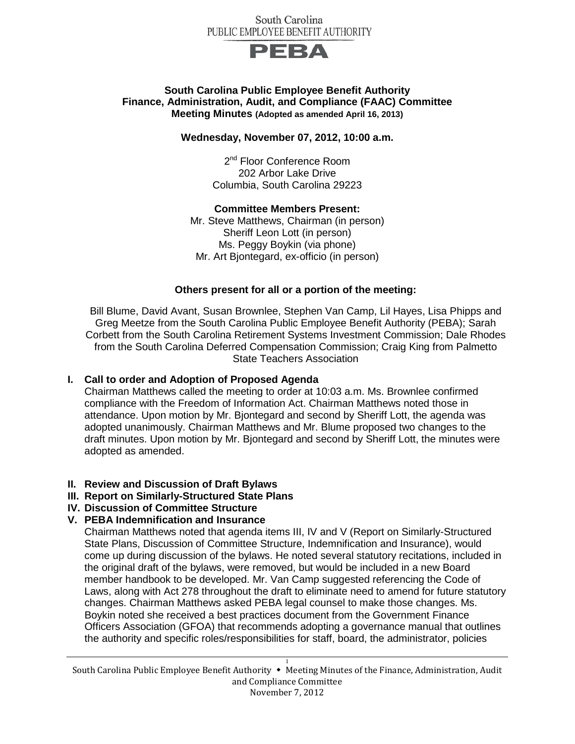#### South Carolina PUBLIC EMPLOYEE BENEFIT AUTHORITY



### **South Carolina Public Employee Benefit Authority Finance, Administration, Audit, and Compliance (FAAC) Committee Meeting Minutes (Adopted as amended April 16, 2013)**

#### **Wednesday, November 07, 2012, 10:00 a.m.**

2<sup>nd</sup> Floor Conference Room 202 Arbor Lake Drive Columbia, South Carolina 29223

#### **Committee Members Present:**

Mr. Steve Matthews, Chairman (in person) Sheriff Leon Lott (in person) Ms. Peggy Boykin (via phone) Mr. Art Bjontegard, ex-officio (in person)

# **Others present for all or a portion of the meeting:**

Bill Blume, David Avant, Susan Brownlee, Stephen Van Camp, Lil Hayes, Lisa Phipps and Greg Meetze from the South Carolina Public Employee Benefit Authority (PEBA); Sarah Corbett from the South Carolina Retirement Systems Investment Commission; Dale Rhodes from the South Carolina Deferred Compensation Commission; Craig King from Palmetto State Teachers Association

# **I. Call to order and Adoption of Proposed Agenda**

Chairman Matthews called the meeting to order at 10:03 a.m. Ms. Brownlee confirmed compliance with the Freedom of Information Act. Chairman Matthews noted those in attendance. Upon motion by Mr. Bjontegard and second by Sheriff Lott, the agenda was adopted unanimously. Chairman Matthews and Mr. Blume proposed two changes to the draft minutes. Upon motion by Mr. Bjontegard and second by Sheriff Lott, the minutes were adopted as amended.

# **II. Review and Discussion of Draft Bylaws**

- **III. Report on Similarly-Structured State Plans**
- **IV. Discussion of Committee Structure**

# **V. PEBA Indemnification and Insurance**

Chairman Matthews noted that agenda items III, IV and V (Report on Similarly-Structured State Plans, Discussion of Committee Structure, Indemnification and Insurance), would come up during discussion of the bylaws. He noted several statutory recitations, included in the original draft of the bylaws, were removed, but would be included in a new Board member handbook to be developed. Mr. Van Camp suggested referencing the Code of Laws, along with Act 278 throughout the draft to eliminate need to amend for future statutory changes. Chairman Matthews asked PEBA legal counsel to make those changes. Ms. Boykin noted she received a best practices document from the Government Finance Officers Association (GFOA) that recommends adopting a governance manual that outlines the authority and specific roles/responsibilities for staff, board, the administrator, policies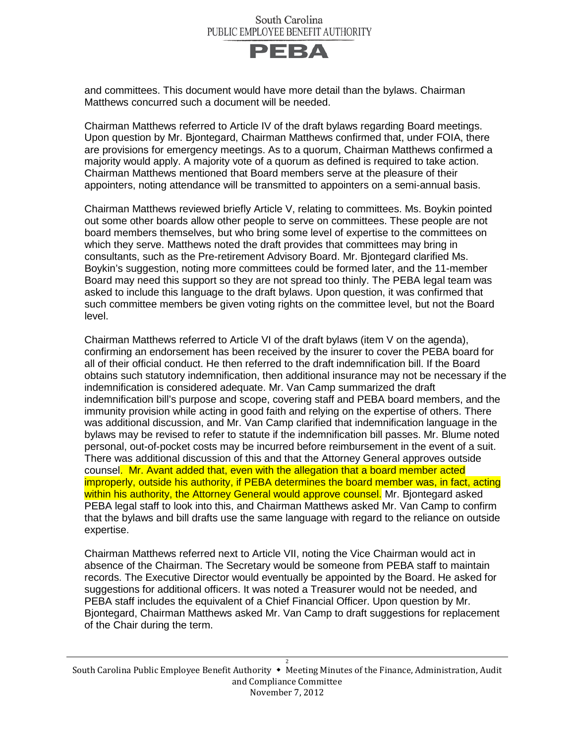

and committees. This document would have more detail than the bylaws. Chairman Matthews concurred such a document will be needed.

Chairman Matthews referred to Article IV of the draft bylaws regarding Board meetings. Upon question by Mr. Bjontegard, Chairman Matthews confirmed that, under FOIA, there are provisions for emergency meetings. As to a quorum, Chairman Matthews confirmed a majority would apply. A majority vote of a quorum as defined is required to take action. Chairman Matthews mentioned that Board members serve at the pleasure of their appointers, noting attendance will be transmitted to appointers on a semi-annual basis.

Chairman Matthews reviewed briefly Article V, relating to committees. Ms. Boykin pointed out some other boards allow other people to serve on committees. These people are not board members themselves, but who bring some level of expertise to the committees on which they serve. Matthews noted the draft provides that committees may bring in consultants, such as the Pre-retirement Advisory Board. Mr. Bjontegard clarified Ms. Boykin's suggestion, noting more committees could be formed later, and the 11-member Board may need this support so they are not spread too thinly. The PEBA legal team was asked to include this language to the draft bylaws. Upon question, it was confirmed that such committee members be given voting rights on the committee level, but not the Board level.

Chairman Matthews referred to Article VI of the draft bylaws (item V on the agenda), confirming an endorsement has been received by the insurer to cover the PEBA board for all of their official conduct. He then referred to the draft indemnification bill. If the Board obtains such statutory indemnification, then additional insurance may not be necessary if the indemnification is considered adequate. Mr. Van Camp summarized the draft indemnification bill's purpose and scope, covering staff and PEBA board members, and the immunity provision while acting in good faith and relying on the expertise of others. There was additional discussion, and Mr. Van Camp clarified that indemnification language in the bylaws may be revised to refer to statute if the indemnification bill passes. Mr. Blume noted personal, out-of-pocket costs may be incurred before reimbursement in the event of a suit. There was additional discussion of this and that the Attorney General approves outside counsel. Mr. Avant added that, even with the allegation that a board member acted improperly, outside his authority, if PEBA determines the board member was, in fact, acting within his authority, the Attorney General would approve counsel. Mr. Bjontegard asked PEBA legal staff to look into this, and Chairman Matthews asked Mr. Van Camp to confirm that the bylaws and bill drafts use the same language with regard to the reliance on outside expertise.

Chairman Matthews referred next to Article VII, noting the Vice Chairman would act in absence of the Chairman. The Secretary would be someone from PEBA staff to maintain records. The Executive Director would eventually be appointed by the Board. He asked for suggestions for additional officers. It was noted a Treasurer would not be needed, and PEBA staff includes the equivalent of a Chief Financial Officer. Upon question by Mr. Bjontegard, Chairman Matthews asked Mr. Van Camp to draft suggestions for replacement of the Chair during the term.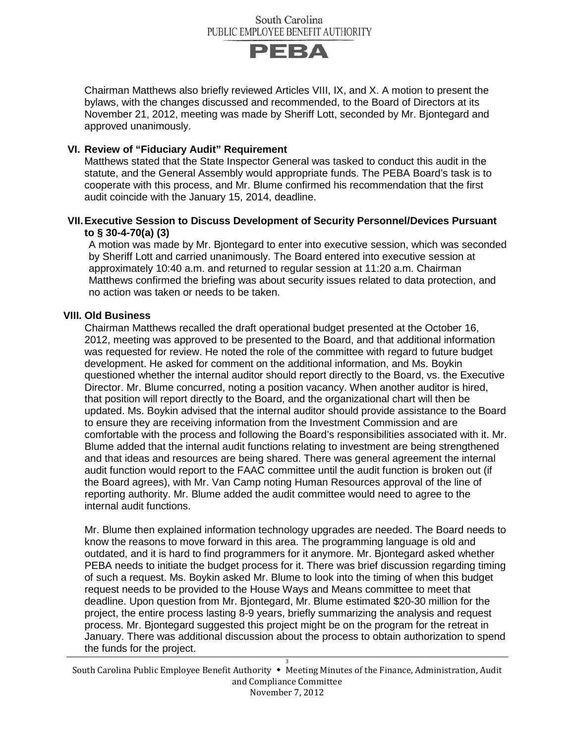

Chairman Matthews also briefly reviewed Articles VIII, IX, and X. A motion to present the bylaws, with the changes discussed and recommended, to the Board of Directors at its November 21, 2012, meeting was made by Sheriff Lott, seconded by Mr. Bjontegard and approved unanimously.

### **VI. Review of "Fiduciary Audit" Requirement**

Matthews stated that the State Inspector General was tasked to conduct this audit in the statute, and the General Assembly would appropriate funds. The PEBA Board's task is to cooperate with this process, and Mr. Blume confirmed his recommendation that the first audit coincide with the January 15, 2014, deadline.

#### **VII.Executive Session to Discuss Development of Security Personnel/Devices Pursuant to § 30-4-70(a) (3)**

A motion was made by Mr. Bjontegard to enter into executive session, which was seconded by Sheriff Lott and carried unanimously. The Board entered into executive session at approximately 10:40 a.m. and returned to regular session at 11:20 a.m. Chairman Matthews confirmed the briefing was about security issues related to data protection, and no action was taken or needs to be taken.

#### **VIII. Old Business**

Chairman Matthews recalled the draft operational budget presented at the October 16, 2012, meeting was approved to be presented to the Board, and that additional information was requested for review. He noted the role of the committee with regard to future budget development. He asked for comment on the additional information, and Ms. Boykin questioned whether the internal auditor should report directly to the Board, vs. the Executive Director. Mr. Blume concurred, noting a position vacancy. When another auditor is hired, that position will report directly to the Board, and the organizational chart will then be updated. Ms. Boykin advised that the internal auditor should provide assistance to the Board to ensure they are receiving information from the Investment Commission and are comfortable with the process and following the Board's responsibilities associated with it. Mr. Blume added that the internal audit functions relating to investment are being strengthened and that ideas and resources are being shared. There was general agreement the internal audit function would report to the FAAC committee until the audit function is broken out (if the Board agrees), with Mr. Van Camp noting Human Resources approval of the line of reporting authority. Mr. Blume added the audit committee would need to agree to the internal audit functions.

Mr. Blume then explained information technology upgrades are needed. The Board needs to know the reasons to move forward in this area. The programming language is old and outdated, and it is hard to find programmers for it anymore. Mr. Bjontegard asked whether PEBA needs to initiate the budget process for it. There was brief discussion regarding timing of such a request. Ms. Boykin asked Mr. Blume to look into the timing of when this budget request needs to be provided to the House Ways and Means committee to meet that deadline. Upon question from Mr. Bjontegard, Mr. Blume estimated \$20-30 million for the project, the entire process lasting 8-9 years, briefly summarizing the analysis and request process. Mr. Bjontegard suggested this project might be on the program for the retreat in January. There was additional discussion about the process to obtain authorization to spend the funds for the project.

3